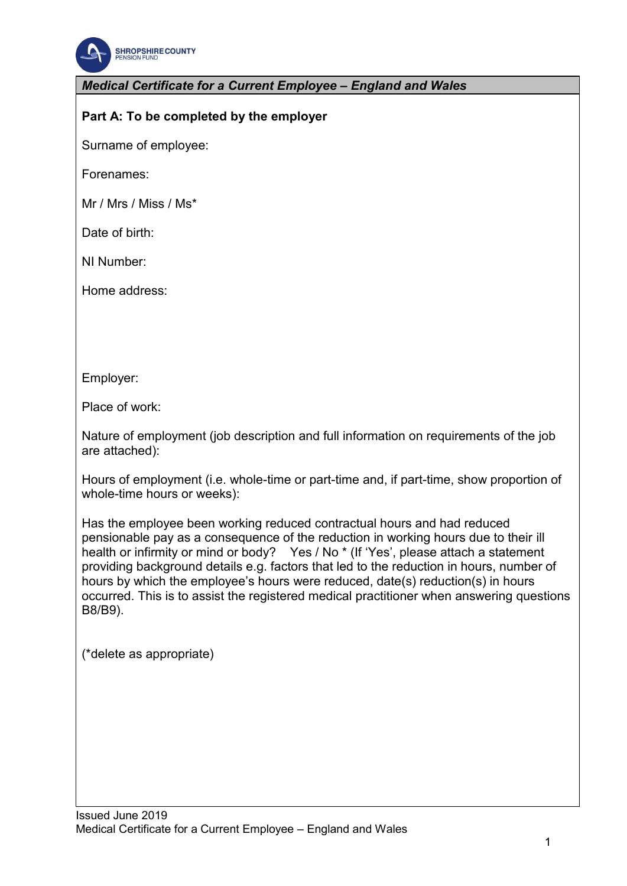

*Medical Certificate for a Current Employee – England and Wales* 

## **Part A: To be completed by the employer**

Surname of employee:

Forenames:

Mr / Mrs / Miss / Ms\*

Date of birth:

NI Number:

Home address:

Employer:

Place of work:

Nature of employment (job description and full information on requirements of the job are attached):

Hours of employment (i.e. whole-time or part-time and, if part-time, show proportion of whole-time hours or weeks):

Has the employee been working reduced contractual hours and had reduced pensionable pay as a consequence of the reduction in working hours due to their ill health or infirmity or mind or body? Yes / No \* (If 'Yes', please attach a statement providing background details e.g. factors that led to the reduction in hours, number of hours by which the employee's hours were reduced, date(s) reduction(s) in hours occurred. This is to assist the registered medical practitioner when answering questions B8/B9).

(\*delete as appropriate)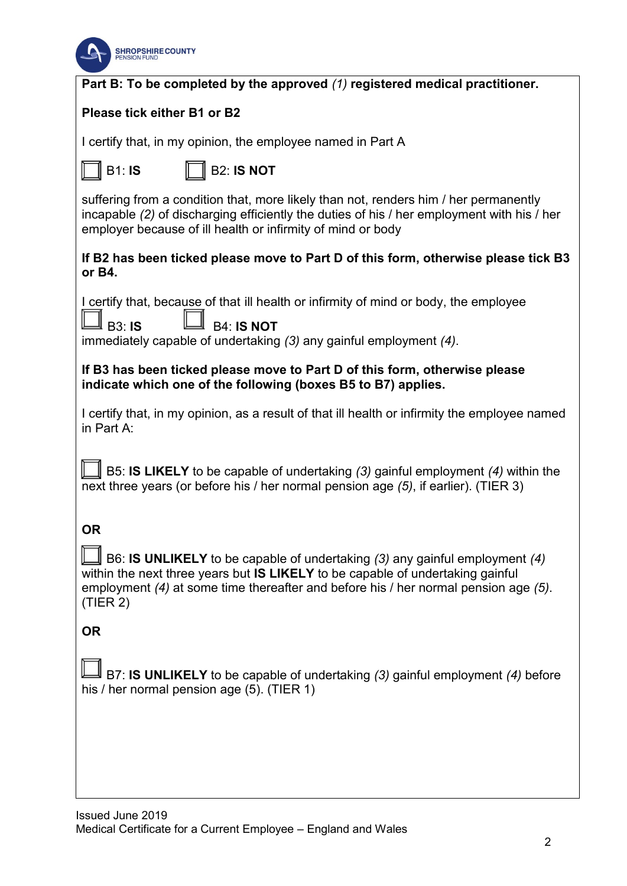

| Part B: To be completed by the approved (1) registered medical practitioner.                                                                                                                                                                                                         |
|--------------------------------------------------------------------------------------------------------------------------------------------------------------------------------------------------------------------------------------------------------------------------------------|
| Please tick either B1 or B2                                                                                                                                                                                                                                                          |
| I certify that, in my opinion, the employee named in Part A                                                                                                                                                                                                                          |
| <b>B1: IS</b><br><b>B2: IS NOT</b>                                                                                                                                                                                                                                                   |
| suffering from a condition that, more likely than not, renders him / her permanently<br>incapable (2) of discharging efficiently the duties of his / her employment with his / her<br>employer because of ill health or infirmity of mind or body                                    |
| If B2 has been ticked please move to Part D of this form, otherwise please tick B3<br>or B4.                                                                                                                                                                                         |
| I certify that, because of that ill health or infirmity of mind or body, the employee                                                                                                                                                                                                |
| <b>B4: IS NOT</b><br><b>∐</b> вз∶ <b>іѕ</b><br>immediately capable of undertaking (3) any gainful employment (4).                                                                                                                                                                    |
| If B3 has been ticked please move to Part D of this form, otherwise please<br>indicate which one of the following (boxes B5 to B7) applies.                                                                                                                                          |
| I certify that, in my opinion, as a result of that ill health or infirmity the employee named<br>in Part A:                                                                                                                                                                          |
| B5: IS LIKELY to be capable of undertaking (3) gainful employment (4) within the<br>next three years (or before his / her normal pension age (5), if earlier). (TIER 3)                                                                                                              |
| <b>OR</b><br>$\Box$ B6: IS UNLIKELY to be capable of undertaking (3) any gainful employment (4)<br>within the next three years but IS LIKELY to be capable of undertaking gainful<br>employment (4) at some time thereafter and before his / her normal pension age (5).<br>(TIER 2) |
| <b>OR</b>                                                                                                                                                                                                                                                                            |
| B7: IS UNLIKELY to be capable of undertaking (3) gainful employment (4) before<br>his / her normal pension age (5). (TIER 1)                                                                                                                                                         |
|                                                                                                                                                                                                                                                                                      |
|                                                                                                                                                                                                                                                                                      |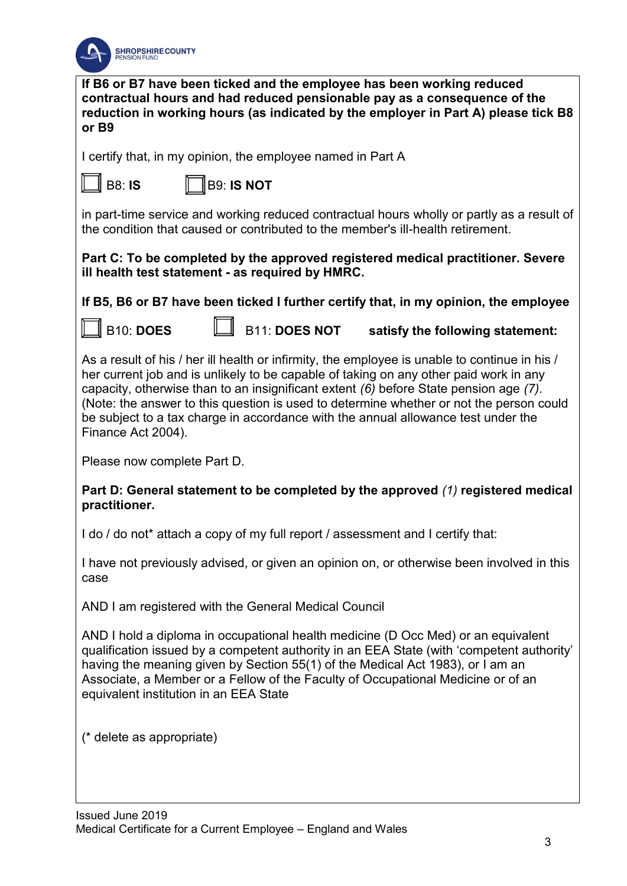

**If B6 or B7 have been ticked and the employee has been working reduced contractual hours and had reduced pensionable pay as a consequence of the reduction in working hours (as indicated by the employer in Part A) please tick B8 or B9**

I certify that, in my opinion, the employee named in Part A

B8: **IS** B9: **IS NOT** 

in part-time service and working reduced contractual hours wholly or partly as a result of the condition that caused or contributed to the member's ill-health retirement.

**Part C: To be completed by the approved registered medical practitioner. Severe ill health test statement - as required by HMRC.** 

**If B5, B6 or B7 have been ticked I further certify that, in my opinion, the employee**

B10: **DOES** B11: **DOES NOT satisfy the following statement:**

As a result of his / her ill health or infirmity, the employee is unable to continue in his / her current job and is unlikely to be capable of taking on any other paid work in any capacity, otherwise than to an insignificant extent *(6)* before State pension age *(7)*. (Note: the answer to this question is used to determine whether or not the person could be subject to a tax charge in accordance with the annual allowance test under the Finance Act 2004).

Please now complete Part D.

**Part D: General statement to be completed by the approved** *(1)* **registered medical practitioner.**

I do / do not\* attach a copy of my full report / assessment and I certify that:

I have not previously advised, or given an opinion on, or otherwise been involved in this case

AND I am registered with the General Medical Council

AND I hold a diploma in occupational health medicine (D Occ Med) or an equivalent qualification issued by a competent authority in an EEA State (with 'competent authority' having the meaning given by Section 55(1) of the Medical Act 1983), or I am an Associate, a Member or a Fellow of the Faculty of Occupational Medicine or of an equivalent institution in an EEA State

(\* delete as appropriate)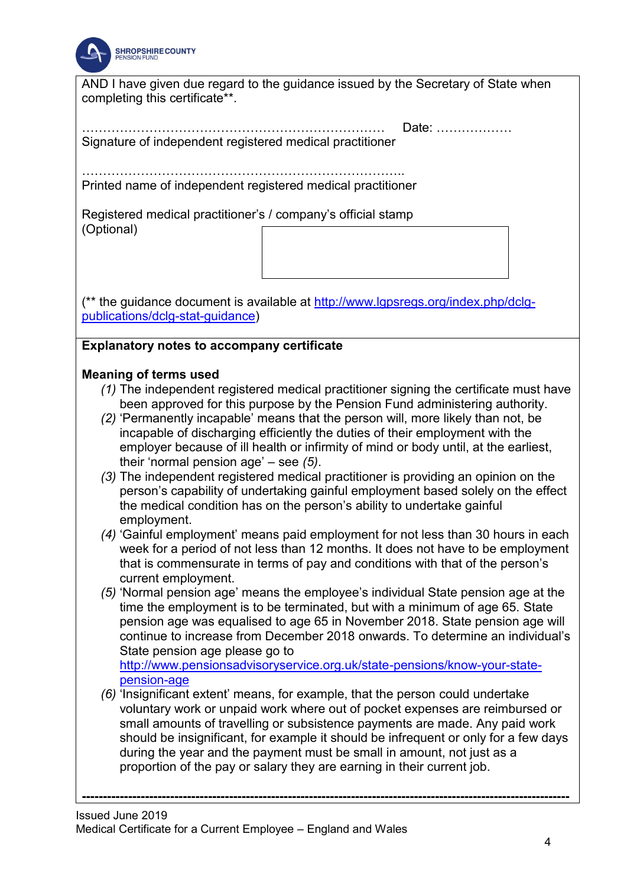

AND I have given due regard to the guidance issued by the Secretary of State when completing this certificate\*\*.

……………………………………………………………… Date: ……………… Signature of independent registered medical practitioner

………………………………………………………………….. Printed name of independent registered medical practitioner

Registered medical practitioner's / company's official stamp (Optional)

(\*\* the guidance document is available at [http://www.lgpsregs.org/index.php/dclg](http://www.lgpsregs.org/index.php/dclg-publications/dclg-stat-guidance)[publications/dclg-stat-guidance\)](http://www.lgpsregs.org/index.php/dclg-publications/dclg-stat-guidance)

## **Explanatory notes to accompany certificate**

## **Meaning of terms used**

- *(1)* The independent registered medical practitioner signing the certificate must have been approved for this purpose by the Pension Fund administering authority.
- *(2)* 'Permanently incapable' means that the person will, more likely than not, be incapable of discharging efficiently the duties of their employment with the employer because of ill health or infirmity of mind or body until, at the earliest, their 'normal pension age' – see *(5)*.
- *(3)* The independent registered medical practitioner is providing an opinion on the person's capability of undertaking gainful employment based solely on the effect the medical condition has on the person's ability to undertake gainful employment.
- *(4)* 'Gainful employment' means paid employment for not less than 30 hours in each week for a period of not less than 12 months. It does not have to be employment that is commensurate in terms of pay and conditions with that of the person's current employment.
- *(5)* 'Normal pension age' means the employee's individual State pension age at the time the employment is to be terminated, but with a minimum of age 65. State pension age was equalised to age 65 in November 2018. State pension age will continue to increase from December 2018 onwards. To determine an individual's State pension age please go to

[http://www.pensionsadvisoryservice.org.uk/state-pensions/know-your-state](http://www.pensionsadvisoryservice.org.uk/state-pensions/know-your-state-pension-age)[pension-age](http://www.pensionsadvisoryservice.org.uk/state-pensions/know-your-state-pension-age) 

*(6)* 'Insignificant extent' means, for example, that the person could undertake voluntary work or unpaid work where out of pocket expenses are reimbursed or small amounts of travelling or subsistence payments are made. Any paid work should be insignificant, for example it should be infrequent or only for a few days during the year and the payment must be small in amount, not just as a proportion of the pay or salary they are earning in their current job.

**--------------------------------------------------------------------------------------------------------------------**